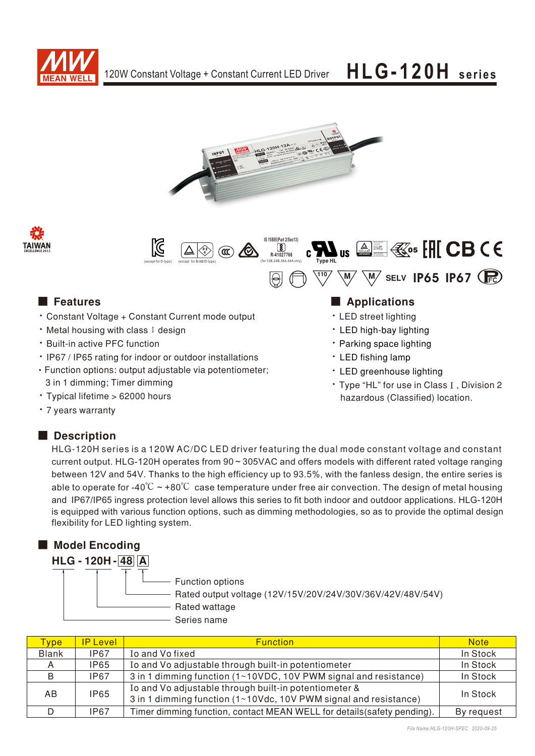







- Constant Voltage + Constant Current mode output
- ‧Metal housing with class I design
- **Built-in active PFC function**
- IP67 / IP65 rating for indoor or outdoor installations
- Function options: output adjustable via potentiometer; 3 in 1 dimming; Timer dimming
- · Typical lifetime > 62000 hours
- 7 years warranty

### Description

HLG-120H series is a 120W AC/DC LED driver featuring the dual mode constant voltage and constant current output. HLG-120H operates from 90 ~ 305VAC and offers models with different rated voltage ranging between 12V and 54V. Thanks to the high efficiency up to 93.5%, with the fanless design, the entire series is able to operate for -40°C  $\sim$  +80°C case temperature under free air convection. The design of metal housing and IP67/IP65 ingress protection level allows this series to fit both indoor and outdoor applications. HLG-120H is equipped with various function options, such as dimming methodologies, so as to provide the optimal design flexibility for LED lighting system.

| <b>Model Encoding</b> |                                                                                                                |
|-----------------------|----------------------------------------------------------------------------------------------------------------|
| <b>HLG-120H-48 A</b>  |                                                                                                                |
|                       | Function options<br>Rated output voltage (12V/15V/20V/24V/30V/36V/42V/48V/54V)<br>Rated wattage<br>Series name |

| ype <sup>-</sup> | <b>IP Level</b> | <b>Function</b>                                                                                                           | <b>Note</b> |
|------------------|-----------------|---------------------------------------------------------------------------------------------------------------------------|-------------|
| <b>Blank</b>     | <b>IP67</b>     | Io and Vo fixed                                                                                                           | In Stock    |
| А                | <b>IP65</b>     | Io and Vo adjustable through built-in potentiometer                                                                       | In Stock    |
| B                | <b>IP67</b>     | 3 in 1 dimming function (1~10VDC, 10V PWM signal and resistance)                                                          | In Stock    |
| AB.              | <b>IP65</b>     | Io and Vo adjustable through built-in potentiometer &<br>3 in 1 dimming function (1~10Vdc, 10V PWM signal and resistance) | In Stock    |
|                  | <b>IP67</b>     | Timer dimming function, contact MEAN WELL for details (safety pending).                                                   | By request  |

### ■ Features ■ Particular and Particular and Particular and Particular and Particular and Particular and Particular and Particular and Particular and Particular and Particular and Particular and Particular and Particular an

- LED street lighting
- LED high-bay lighting
- Parking space lighting
- LED fishing lamp
- LED greenhouse lighting
- Type "HL" for use in Class I, Division 2 hazardous (Classified) location.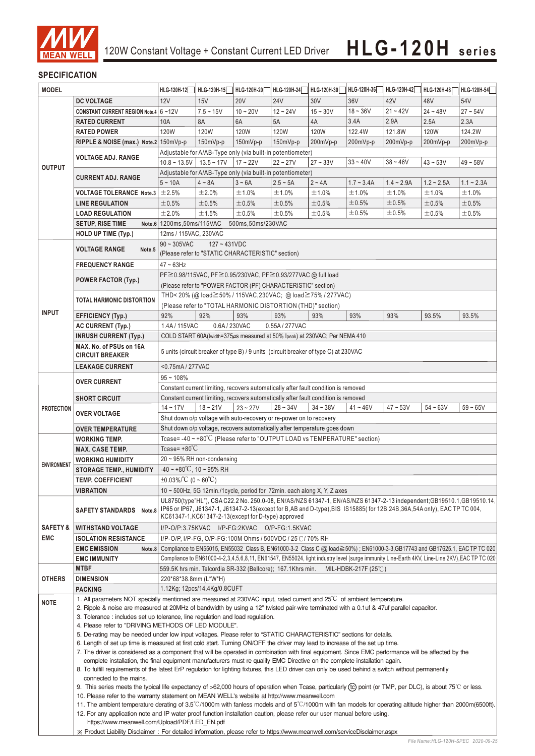

### **SPECIFICATION**

| <b>MODEL</b>        |                                                                                                                                                                                                                                                                                                                                                                                                                                                                                                                                                                                                                                                                                                                                                                                                                                                                                                                                               | HLG-120H-12                                                                                                                                                                                                                                                                                             | HLG-120H-15                  | HLG-120H-20 | HLG-120H-24                                                                         | HLG-120H-30 | HLG-120H-36                    | HLG-120H-42                                                                                                                 | HLG-120H-48  | HLG-120H-54                                                                                                                                  |
|---------------------|-----------------------------------------------------------------------------------------------------------------------------------------------------------------------------------------------------------------------------------------------------------------------------------------------------------------------------------------------------------------------------------------------------------------------------------------------------------------------------------------------------------------------------------------------------------------------------------------------------------------------------------------------------------------------------------------------------------------------------------------------------------------------------------------------------------------------------------------------------------------------------------------------------------------------------------------------|---------------------------------------------------------------------------------------------------------------------------------------------------------------------------------------------------------------------------------------------------------------------------------------------------------|------------------------------|-------------|-------------------------------------------------------------------------------------|-------------|--------------------------------|-----------------------------------------------------------------------------------------------------------------------------|--------------|----------------------------------------------------------------------------------------------------------------------------------------------|
|                     | <b>DC VOLTAGE</b>                                                                                                                                                                                                                                                                                                                                                                                                                                                                                                                                                                                                                                                                                                                                                                                                                                                                                                                             | 12V                                                                                                                                                                                                                                                                                                     | 15V                          | <b>20V</b>  | <b>24V</b>                                                                          | 30V         | 36V                            | 42V                                                                                                                         | 48V          | 54V                                                                                                                                          |
|                     | CONSTANT CURRENT REGION Note.4 6~12V                                                                                                                                                                                                                                                                                                                                                                                                                                                                                                                                                                                                                                                                                                                                                                                                                                                                                                          |                                                                                                                                                                                                                                                                                                         | $7.5 - 15V$                  | $10 - 20V$  | $12 - 24V$                                                                          | $15 - 30V$  | $18 - 36V$                     | $21 - 42V$                                                                                                                  | $24 - 48V$   | $27 - 54V$                                                                                                                                   |
|                     | <b>RATED CURRENT</b>                                                                                                                                                                                                                                                                                                                                                                                                                                                                                                                                                                                                                                                                                                                                                                                                                                                                                                                          | 10A                                                                                                                                                                                                                                                                                                     | 8A                           | 6A          | 5A                                                                                  | 4A          | 3.4A                           | 2.9A                                                                                                                        | 2.5A         | 2.3A                                                                                                                                         |
|                     | <b>RATED POWER</b>                                                                                                                                                                                                                                                                                                                                                                                                                                                                                                                                                                                                                                                                                                                                                                                                                                                                                                                            | 120W                                                                                                                                                                                                                                                                                                    | 120W                         | 120W        | 120W                                                                                | 120W        | 122.4W                         | 121.8W                                                                                                                      | 120W         | 124.2W                                                                                                                                       |
|                     | RIPPLE & NOISE (max.) Note.2 150mVp-p                                                                                                                                                                                                                                                                                                                                                                                                                                                                                                                                                                                                                                                                                                                                                                                                                                                                                                         |                                                                                                                                                                                                                                                                                                         | 150mVp-p                     | $150mVp-p$  | 150mVp-p                                                                            | 200mVp-p    | 200mVp-p                       | 200mVp-p                                                                                                                    | 200mVp-p     | 200mVp-p                                                                                                                                     |
|                     |                                                                                                                                                                                                                                                                                                                                                                                                                                                                                                                                                                                                                                                                                                                                                                                                                                                                                                                                               |                                                                                                                                                                                                                                                                                                         |                              |             | Adjustable for A/AB-Type only (via built-in potentiometer)                          |             |                                |                                                                                                                             |              |                                                                                                                                              |
|                     | <b>VOLTAGE ADJ. RANGE</b>                                                                                                                                                                                                                                                                                                                                                                                                                                                                                                                                                                                                                                                                                                                                                                                                                                                                                                                     | $10.8 \sim 13.5V$   13.5 ~ 17V                                                                                                                                                                                                                                                                          |                              | $17 - 22V$  | $22 - 27V$                                                                          | $27 - 33V$  | $33 - 40V$                     | $38 - 46V$                                                                                                                  | $43 - 53V$   | $49 - 58V$                                                                                                                                   |
| <b>OUTPUT</b>       |                                                                                                                                                                                                                                                                                                                                                                                                                                                                                                                                                                                                                                                                                                                                                                                                                                                                                                                                               |                                                                                                                                                                                                                                                                                                         |                              |             | Adjustable for A/AB-Type only (via built-in potentiometer)                          |             |                                |                                                                                                                             |              |                                                                                                                                              |
|                     | <b>CURRENT ADJ. RANGE</b>                                                                                                                                                                                                                                                                                                                                                                                                                                                                                                                                                                                                                                                                                                                                                                                                                                                                                                                     | $5 - 10A$                                                                                                                                                                                                                                                                                               | $4 \sim 8A$                  | $3 - 6A$    | $2.5 - 5A$                                                                          | $2 - 4A$    | $1.7 - 3.4A$                   | $1.4 - 2.9A$                                                                                                                | $1.2 - 2.5A$ | $1.1 - 2.3A$                                                                                                                                 |
|                     | VOLTAGE TOLERANCE Note.3 $\pm$ 2.5%                                                                                                                                                                                                                                                                                                                                                                                                                                                                                                                                                                                                                                                                                                                                                                                                                                                                                                           |                                                                                                                                                                                                                                                                                                         | ±2.0%                        | ±1.0%       | ±1.0%                                                                               | ±1.0%       | ±1.0%                          | ±1.0%                                                                                                                       | ±1.0%        | ±1.0%                                                                                                                                        |
|                     |                                                                                                                                                                                                                                                                                                                                                                                                                                                                                                                                                                                                                                                                                                                                                                                                                                                                                                                                               | $\pm 0.5\%$                                                                                                                                                                                                                                                                                             | $\pm 0.5\%$                  | $\pm 0.5\%$ | ±0.5%                                                                               | ±0.5%       | ±0.5%                          | ±0.5%                                                                                                                       | ±0.5%        | ±0.5%                                                                                                                                        |
|                     | <b>LINE REGULATION</b>                                                                                                                                                                                                                                                                                                                                                                                                                                                                                                                                                                                                                                                                                                                                                                                                                                                                                                                        | ±2.0%                                                                                                                                                                                                                                                                                                   | ±1.5%                        | ±0.5%       | ±0.5%                                                                               |             | ±0.5%                          | ±0.5%                                                                                                                       |              | ±0.5%                                                                                                                                        |
|                     | <b>LOAD REGULATION</b>                                                                                                                                                                                                                                                                                                                                                                                                                                                                                                                                                                                                                                                                                                                                                                                                                                                                                                                        |                                                                                                                                                                                                                                                                                                         |                              |             |                                                                                     | ±0.5%       |                                |                                                                                                                             | $\pm 0.5\%$  |                                                                                                                                              |
|                     | <b>SETUP, RISE TIME</b>                                                                                                                                                                                                                                                                                                                                                                                                                                                                                                                                                                                                                                                                                                                                                                                                                                                                                                                       | Note.6 1200ms, 50ms/115VAC<br>500ms, 50ms/230VAC                                                                                                                                                                                                                                                        |                              |             |                                                                                     |             |                                |                                                                                                                             |              |                                                                                                                                              |
|                     | HOLD UP TIME (Typ.)                                                                                                                                                                                                                                                                                                                                                                                                                                                                                                                                                                                                                                                                                                                                                                                                                                                                                                                           | 12ms / 115VAC, 230VAC                                                                                                                                                                                                                                                                                   |                              |             |                                                                                     |             |                                |                                                                                                                             |              |                                                                                                                                              |
|                     | <b>VOLTAGE RANGE</b><br>Note.5                                                                                                                                                                                                                                                                                                                                                                                                                                                                                                                                                                                                                                                                                                                                                                                                                                                                                                                | $90 \sim 305$ VAC                                                                                                                                                                                                                                                                                       | $127 - 431VDC$               |             |                                                                                     |             |                                |                                                                                                                             |              |                                                                                                                                              |
|                     |                                                                                                                                                                                                                                                                                                                                                                                                                                                                                                                                                                                                                                                                                                                                                                                                                                                                                                                                               | (Please refer to "STATIC CHARACTERISTIC" section)                                                                                                                                                                                                                                                       |                              |             |                                                                                     |             |                                |                                                                                                                             |              |                                                                                                                                              |
|                     | <b>FREQUENCY RANGE</b>                                                                                                                                                                                                                                                                                                                                                                                                                                                                                                                                                                                                                                                                                                                                                                                                                                                                                                                        | $47 \sim 63$ Hz                                                                                                                                                                                                                                                                                         |                              |             |                                                                                     |             |                                |                                                                                                                             |              |                                                                                                                                              |
|                     | <b>POWER FACTOR (Typ.)</b>                                                                                                                                                                                                                                                                                                                                                                                                                                                                                                                                                                                                                                                                                                                                                                                                                                                                                                                    |                                                                                                                                                                                                                                                                                                         |                              |             | PF≧0.98/115VAC, PF≧0.95/230VAC, PF≧0.93/277VAC @ full load                          |             |                                |                                                                                                                             |              |                                                                                                                                              |
|                     |                                                                                                                                                                                                                                                                                                                                                                                                                                                                                                                                                                                                                                                                                                                                                                                                                                                                                                                                               |                                                                                                                                                                                                                                                                                                         |                              |             | (Please refer to "POWER FACTOR (PF) CHARACTERISTIC" section)                        |             |                                |                                                                                                                             |              |                                                                                                                                              |
|                     | TOTAL HARMONIC DISTORTION                                                                                                                                                                                                                                                                                                                                                                                                                                                                                                                                                                                                                                                                                                                                                                                                                                                                                                                     |                                                                                                                                                                                                                                                                                                         |                              |             | THD<20% (@load≧50% / 115VAC,230VAC; @load≧75% / 277VAC)                             |             |                                |                                                                                                                             |              |                                                                                                                                              |
| <b>INPUT</b>        |                                                                                                                                                                                                                                                                                                                                                                                                                                                                                                                                                                                                                                                                                                                                                                                                                                                                                                                                               |                                                                                                                                                                                                                                                                                                         |                              |             | (Please refer to "TOTAL HARMONIC DISTORTION (THD)" section)                         |             |                                |                                                                                                                             |              |                                                                                                                                              |
|                     | <b>EFFICIENCY (Typ.)</b>                                                                                                                                                                                                                                                                                                                                                                                                                                                                                                                                                                                                                                                                                                                                                                                                                                                                                                                      | 92%                                                                                                                                                                                                                                                                                                     | 92%                          | 93%         | 93%                                                                                 | 93%         | 93%                            | 93%                                                                                                                         | 93.5%        | 93.5%                                                                                                                                        |
|                     | <b>AC CURRENT (Typ.)</b>                                                                                                                                                                                                                                                                                                                                                                                                                                                                                                                                                                                                                                                                                                                                                                                                                                                                                                                      | 1.4A / 115VAC                                                                                                                                                                                                                                                                                           | 0.6A / 230VAC                |             | 0.55A/277VAC                                                                        |             |                                |                                                                                                                             |              |                                                                                                                                              |
|                     | <b>INRUSH CURRENT (Typ.)</b>                                                                                                                                                                                                                                                                                                                                                                                                                                                                                                                                                                                                                                                                                                                                                                                                                                                                                                                  |                                                                                                                                                                                                                                                                                                         |                              |             | COLD START 60A(twidth=375µs measured at 50% Ipeak) at 230VAC; Per NEMA 410          |             |                                |                                                                                                                             |              |                                                                                                                                              |
|                     | MAX. No. of PSUs on 16A                                                                                                                                                                                                                                                                                                                                                                                                                                                                                                                                                                                                                                                                                                                                                                                                                                                                                                                       |                                                                                                                                                                                                                                                                                                         |                              |             | 5 units (circuit breaker of type B) / 9 units (circuit breaker of type C) at 230VAC |             |                                |                                                                                                                             |              |                                                                                                                                              |
|                     | <b>CIRCUIT BREAKER</b>                                                                                                                                                                                                                                                                                                                                                                                                                                                                                                                                                                                                                                                                                                                                                                                                                                                                                                                        |                                                                                                                                                                                                                                                                                                         |                              |             |                                                                                     |             |                                |                                                                                                                             |              |                                                                                                                                              |
|                     | <b>LEAKAGE CURRENT</b>                                                                                                                                                                                                                                                                                                                                                                                                                                                                                                                                                                                                                                                                                                                                                                                                                                                                                                                        | <0.75mA/277VAC                                                                                                                                                                                                                                                                                          |                              |             |                                                                                     |             |                                |                                                                                                                             |              |                                                                                                                                              |
|                     | <b>OVER CURRENT</b>                                                                                                                                                                                                                                                                                                                                                                                                                                                                                                                                                                                                                                                                                                                                                                                                                                                                                                                           | $95 - 108%$                                                                                                                                                                                                                                                                                             |                              |             |                                                                                     |             |                                |                                                                                                                             |              |                                                                                                                                              |
|                     |                                                                                                                                                                                                                                                                                                                                                                                                                                                                                                                                                                                                                                                                                                                                                                                                                                                                                                                                               |                                                                                                                                                                                                                                                                                                         |                              |             | Constant current limiting, recovers automatically after fault condition is removed  |             |                                |                                                                                                                             |              |                                                                                                                                              |
|                     | <b>SHORT CIRCUIT</b>                                                                                                                                                                                                                                                                                                                                                                                                                                                                                                                                                                                                                                                                                                                                                                                                                                                                                                                          |                                                                                                                                                                                                                                                                                                         |                              |             | Constant current limiting, recovers automatically after fault condition is removed  |             |                                |                                                                                                                             |              |                                                                                                                                              |
| <b>PROTECTION</b>   | <b>OVER VOLTAGE</b>                                                                                                                                                                                                                                                                                                                                                                                                                                                                                                                                                                                                                                                                                                                                                                                                                                                                                                                           | $14 - 17V$                                                                                                                                                                                                                                                                                              | $18 - 21V$                   | $23 - 27V$  | $28 - 34V$                                                                          | $34 - 38V$  | $41 - 46V$                     | $47 - 53V$                                                                                                                  | $54 - 63V$   | $59 - 65V$                                                                                                                                   |
|                     |                                                                                                                                                                                                                                                                                                                                                                                                                                                                                                                                                                                                                                                                                                                                                                                                                                                                                                                                               | Shut down o/p voltage with auto-recovery or re-power on to recovery                                                                                                                                                                                                                                     |                              |             |                                                                                     |             |                                |                                                                                                                             |              |                                                                                                                                              |
|                     | <b>OVER TEMPERATURE</b>                                                                                                                                                                                                                                                                                                                                                                                                                                                                                                                                                                                                                                                                                                                                                                                                                                                                                                                       | Shut down o/p voltage, recovers automatically after temperature goes down                                                                                                                                                                                                                               |                              |             |                                                                                     |             |                                |                                                                                                                             |              |                                                                                                                                              |
|                     | WORKING TEMP.                                                                                                                                                                                                                                                                                                                                                                                                                                                                                                                                                                                                                                                                                                                                                                                                                                                                                                                                 | Tcase= -40 $\sim$ +80 $\rm ^{\circ}C$ (Please refer to "OUTPUT LOAD vs TEMPERATURE" section)                                                                                                                                                                                                            |                              |             |                                                                                     |             |                                |                                                                                                                             |              |                                                                                                                                              |
|                     | <b>MAX. CASE TEMP.</b>                                                                                                                                                                                                                                                                                                                                                                                                                                                                                                                                                                                                                                                                                                                                                                                                                                                                                                                        | Tcase= $+80^{\circ}$ C                                                                                                                                                                                                                                                                                  |                              |             |                                                                                     |             |                                |                                                                                                                             |              |                                                                                                                                              |
| <b>ENVIRONMENT</b>  | <b>WORKING HUMIDITY</b>                                                                                                                                                                                                                                                                                                                                                                                                                                                                                                                                                                                                                                                                                                                                                                                                                                                                                                                       | $20 \sim 95\%$ RH non-condensing                                                                                                                                                                                                                                                                        |                              |             |                                                                                     |             |                                |                                                                                                                             |              |                                                                                                                                              |
|                     | <b>STORAGE TEMP., HUMIDITY</b>                                                                                                                                                                                                                                                                                                                                                                                                                                                                                                                                                                                                                                                                                                                                                                                                                                                                                                                | $-40 \sim +80^{\circ}$ C, 10 ~ 95% RH                                                                                                                                                                                                                                                                   |                              |             |                                                                                     |             |                                |                                                                                                                             |              |                                                                                                                                              |
|                     | <b>TEMP. COEFFICIENT</b>                                                                                                                                                                                                                                                                                                                                                                                                                                                                                                                                                                                                                                                                                                                                                                                                                                                                                                                      | $\pm 0.03\%$ $\degree$ C (0 ~ 60 $\degree$ C)                                                                                                                                                                                                                                                           |                              |             |                                                                                     |             |                                |                                                                                                                             |              |                                                                                                                                              |
|                     | <b>VIBRATION</b>                                                                                                                                                                                                                                                                                                                                                                                                                                                                                                                                                                                                                                                                                                                                                                                                                                                                                                                              |                                                                                                                                                                                                                                                                                                         |                              |             | 10 ~ 500Hz, 5G 12min./1cycle, period for 72min. each along X, Y, Z axes             |             |                                |                                                                                                                             |              |                                                                                                                                              |
|                     | SAFETY STANDARDS Note.8                                                                                                                                                                                                                                                                                                                                                                                                                                                                                                                                                                                                                                                                                                                                                                                                                                                                                                                       | UL8750(type"HL"), CSA C22.2 No. 250.0-08, EN/AS/NZS 61347-1, EN/AS/NZS 61347-2-13 independent; GB19510.1, GB19510.14,<br>IP65 or IP67, J61347-1, J61347-2-13(except for B,AB and D-type), BIS IS15885(for 12B,24B,36A,54A only), EAC TP TC 004,<br>KC61347-1, KC61347-2-13 (except for D-type) approved |                              |             |                                                                                     |             |                                |                                                                                                                             |              |                                                                                                                                              |
| <b>SAFETY &amp;</b> | <b>WITHSTAND VOLTAGE</b>                                                                                                                                                                                                                                                                                                                                                                                                                                                                                                                                                                                                                                                                                                                                                                                                                                                                                                                      |                                                                                                                                                                                                                                                                                                         |                              |             | I/P-O/P:3.75KVAC I/P-FG:2KVAC O/P-FG:1.5KVAC                                        |             |                                |                                                                                                                             |              |                                                                                                                                              |
| <b>EMC</b>          | <b>ISOLATION RESISTANCE</b>                                                                                                                                                                                                                                                                                                                                                                                                                                                                                                                                                                                                                                                                                                                                                                                                                                                                                                                   |                                                                                                                                                                                                                                                                                                         |                              |             | I/P-O/P, I/P-FG, O/P-FG:100M Ohms / 500VDC / 25℃/ 70% RH                            |             |                                |                                                                                                                             |              |                                                                                                                                              |
|                     | <b>EMC EMISSION</b><br>Note.8                                                                                                                                                                                                                                                                                                                                                                                                                                                                                                                                                                                                                                                                                                                                                                                                                                                                                                                 |                                                                                                                                                                                                                                                                                                         |                              |             |                                                                                     |             |                                | Compliance to EN55015, EN55032 Class B, EN61000-3-2 Class C (@ load≧50%) ; EN61000-3-3,GB17743 and GB17625.1, EAC TP TC 020 |              |                                                                                                                                              |
|                     | <b>EMC IMMUNITY</b>                                                                                                                                                                                                                                                                                                                                                                                                                                                                                                                                                                                                                                                                                                                                                                                                                                                                                                                           |                                                                                                                                                                                                                                                                                                         |                              |             |                                                                                     |             |                                |                                                                                                                             |              | Compliance to EN61000-4-2,3,4,5,6,8,11, EN61547, EN55024, light industry level (surge immunity Line-Earth 4KV, Line-Line 2KV), EAC TP TC 020 |
|                     | MTBF                                                                                                                                                                                                                                                                                                                                                                                                                                                                                                                                                                                                                                                                                                                                                                                                                                                                                                                                          |                                                                                                                                                                                                                                                                                                         |                              |             | 559.5K hrs min. Telcordia SR-332 (Bellcore); 167.1Khrs min.                         |             | MIL-HDBK-217F (25 $\degree$ C) |                                                                                                                             |              |                                                                                                                                              |
| <b>OTHERS</b>       | <b>DIMENSION</b>                                                                                                                                                                                                                                                                                                                                                                                                                                                                                                                                                                                                                                                                                                                                                                                                                                                                                                                              | 220*68*38.8mm (L*W*H)                                                                                                                                                                                                                                                                                   |                              |             |                                                                                     |             |                                |                                                                                                                             |              |                                                                                                                                              |
|                     | <b>PACKING</b>                                                                                                                                                                                                                                                                                                                                                                                                                                                                                                                                                                                                                                                                                                                                                                                                                                                                                                                                |                                                                                                                                                                                                                                                                                                         | 1.12Kg; 12pcs/14.4Kg/0.8CUFT |             |                                                                                     |             |                                |                                                                                                                             |              |                                                                                                                                              |
| <b>NOTE</b>         |                                                                                                                                                                                                                                                                                                                                                                                                                                                                                                                                                                                                                                                                                                                                                                                                                                                                                                                                               | 1. All parameters NOT specially mentioned are measured at 230VAC input, rated current and $25^{\circ}$ of ambient temperature.<br>2. Ripple & noise are measured at 20MHz of bandwidth by using a 12" twisted pair-wire terminated with a 0.1uf & 47uf parallel capacitor.                              |                              |             |                                                                                     |             |                                |                                                                                                                             |              |                                                                                                                                              |
|                     | 3. Tolerance: includes set up tolerance, line regulation and load regulation.                                                                                                                                                                                                                                                                                                                                                                                                                                                                                                                                                                                                                                                                                                                                                                                                                                                                 |                                                                                                                                                                                                                                                                                                         |                              |             |                                                                                     |             |                                |                                                                                                                             |              |                                                                                                                                              |
|                     | 4. Please refer to "DRIVING METHODS OF LED MODULE".                                                                                                                                                                                                                                                                                                                                                                                                                                                                                                                                                                                                                                                                                                                                                                                                                                                                                           |                                                                                                                                                                                                                                                                                                         |                              |             |                                                                                     |             |                                |                                                                                                                             |              |                                                                                                                                              |
|                     | 5. De-rating may be needed under low input voltages. Please refer to "STATIC CHARACTERISTIC" sections for details.                                                                                                                                                                                                                                                                                                                                                                                                                                                                                                                                                                                                                                                                                                                                                                                                                            |                                                                                                                                                                                                                                                                                                         |                              |             |                                                                                     |             |                                |                                                                                                                             |              |                                                                                                                                              |
|                     | 6. Length of set up time is measured at first cold start. Turning ON/OFF the driver may lead to increase of the set up time.                                                                                                                                                                                                                                                                                                                                                                                                                                                                                                                                                                                                                                                                                                                                                                                                                  |                                                                                                                                                                                                                                                                                                         |                              |             |                                                                                     |             |                                |                                                                                                                             |              |                                                                                                                                              |
|                     | 7. The driver is considered as a component that will be operated in combination with final equipment. Since EMC performance will be affected by the                                                                                                                                                                                                                                                                                                                                                                                                                                                                                                                                                                                                                                                                                                                                                                                           |                                                                                                                                                                                                                                                                                                         |                              |             |                                                                                     |             |                                |                                                                                                                             |              |                                                                                                                                              |
|                     | complete installation, the final equipment manufacturers must re-qualify EMC Directive on the complete installation again.<br>8. To fulfill requirements of the latest ErP regulation for lighting fixtures, this LED driver can only be used behind a switch without permanently<br>connected to the mains.<br>9. This series meets the typical life expectancy of >62,000 hours of operation when Tcase, particularly (tc) point (or TMP, per DLC), is about 75℃ or less.<br>10. Please refer to the warranty statement on MEAN WELL's website at http://www.meanwell.com<br>11. The ambient temperature derating of $3.5^{\circ}$ C/1000m with fanless models and of 5 $^{\circ}$ C/1000m with fan models for operating altitude higher than 2000m(6500ft).<br>12. For any application note and IP water proof function installation caution, please refer our user manual before using.<br>https://www.meanwell.com/Upload/PDF/LED_EN.pdf |                                                                                                                                                                                                                                                                                                         |                              |             |                                                                                     |             |                                |                                                                                                                             |              |                                                                                                                                              |
|                     |                                                                                                                                                                                                                                                                                                                                                                                                                                                                                                                                                                                                                                                                                                                                                                                                                                                                                                                                               |                                                                                                                                                                                                                                                                                                         |                              |             |                                                                                     |             |                                |                                                                                                                             |              |                                                                                                                                              |
|                     |                                                                                                                                                                                                                                                                                                                                                                                                                                                                                                                                                                                                                                                                                                                                                                                                                                                                                                                                               |                                                                                                                                                                                                                                                                                                         |                              |             |                                                                                     |             |                                |                                                                                                                             |              |                                                                                                                                              |
|                     |                                                                                                                                                                                                                                                                                                                                                                                                                                                                                                                                                                                                                                                                                                                                                                                                                                                                                                                                               |                                                                                                                                                                                                                                                                                                         |                              |             |                                                                                     |             |                                |                                                                                                                             |              |                                                                                                                                              |
|                     |                                                                                                                                                                                                                                                                                                                                                                                                                                                                                                                                                                                                                                                                                                                                                                                                                                                                                                                                               |                                                                                                                                                                                                                                                                                                         |                              |             |                                                                                     |             |                                |                                                                                                                             |              |                                                                                                                                              |
|                     |                                                                                                                                                                                                                                                                                                                                                                                                                                                                                                                                                                                                                                                                                                                                                                                                                                                                                                                                               |                                                                                                                                                                                                                                                                                                         |                              |             |                                                                                     |             |                                |                                                                                                                             |              |                                                                                                                                              |
|                     |                                                                                                                                                                                                                                                                                                                                                                                                                                                                                                                                                                                                                                                                                                                                                                                                                                                                                                                                               |                                                                                                                                                                                                                                                                                                         |                              |             |                                                                                     |             |                                |                                                                                                                             |              |                                                                                                                                              |
|                     | X Product Liability Disclaimer: For detailed information, please refer to https://www.meanwell.com/serviceDisclaimer.aspx                                                                                                                                                                                                                                                                                                                                                                                                                                                                                                                                                                                                                                                                                                                                                                                                                     |                                                                                                                                                                                                                                                                                                         |                              |             |                                                                                     |             |                                |                                                                                                                             |              |                                                                                                                                              |

※ Product Liability Disclaimer:For detailed information, please refer to https://www.meanwell.com/serviceDisclaimer.aspx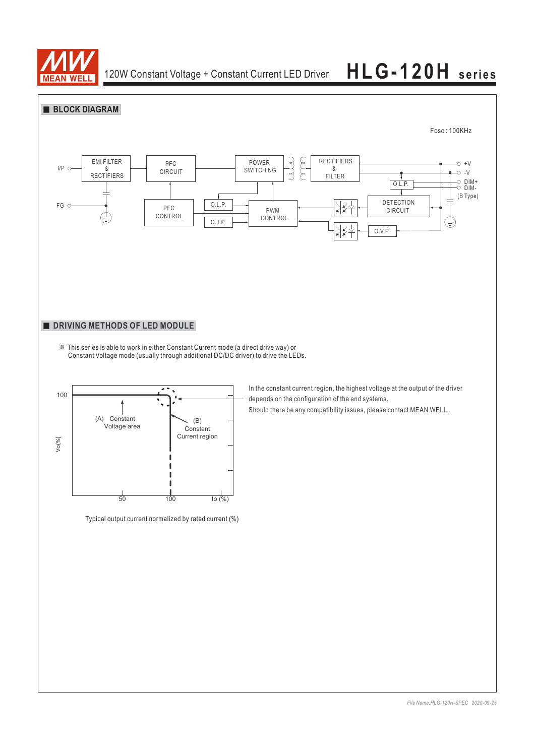

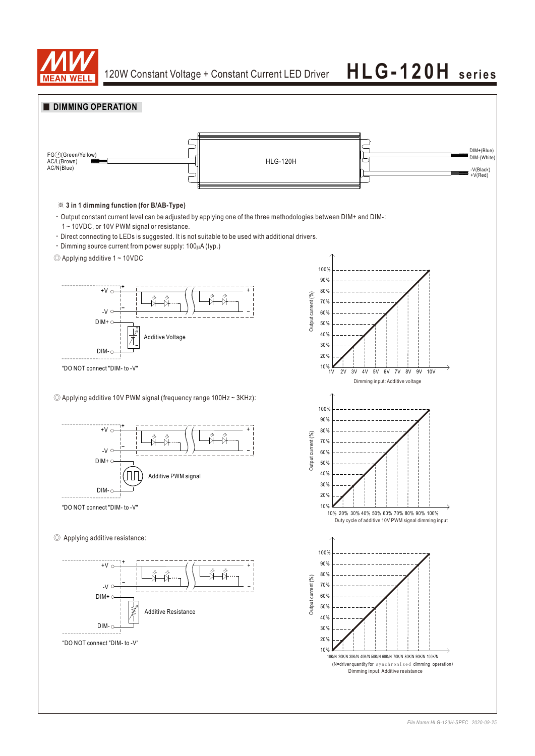

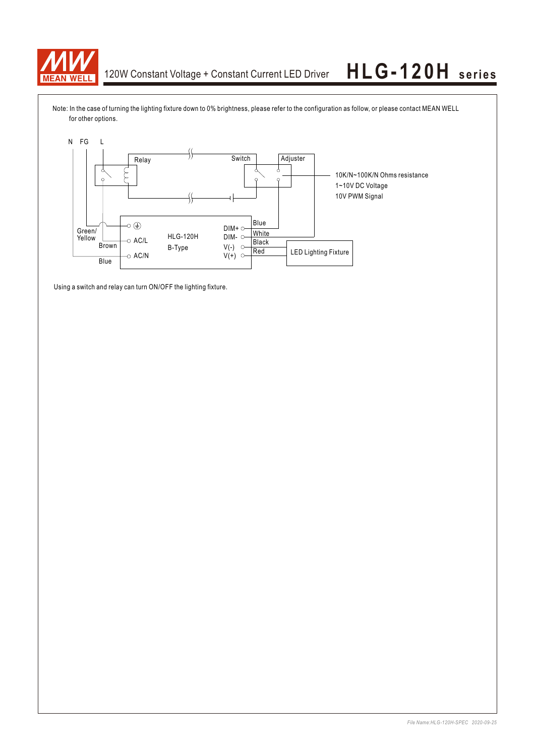

Note: In the case of turning the lighting fixture down to 0% brightness, please refer to the configuration as follow, or please contact MEAN WELL for other options.



Using a switch and relay can turn ON/OFF the lighting fixture.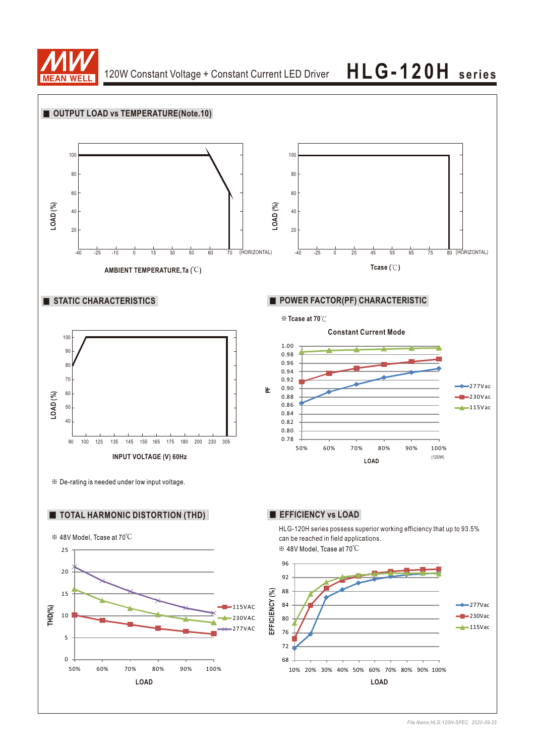

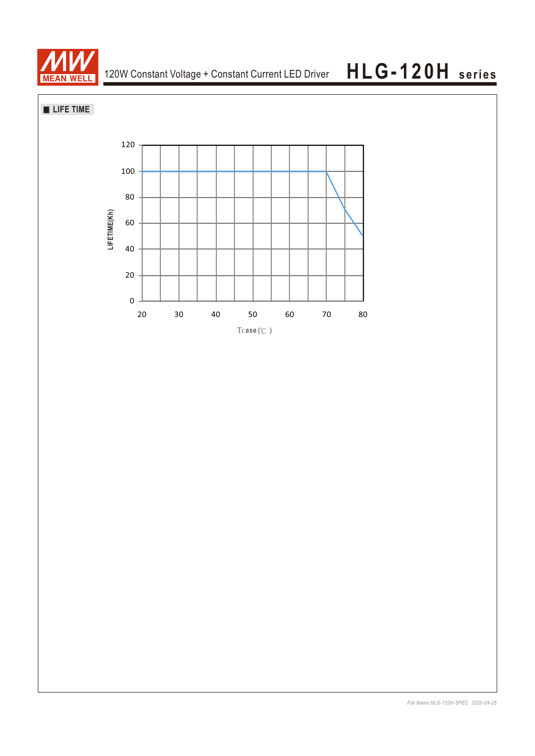

## **LIFE TIME**

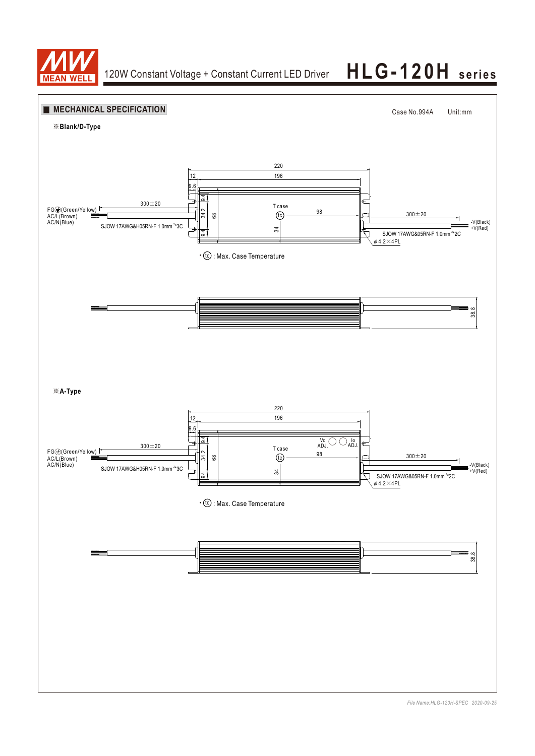

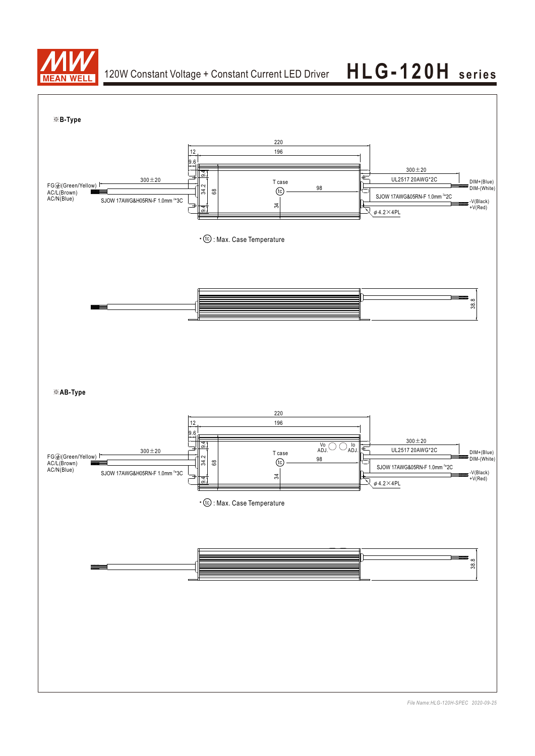